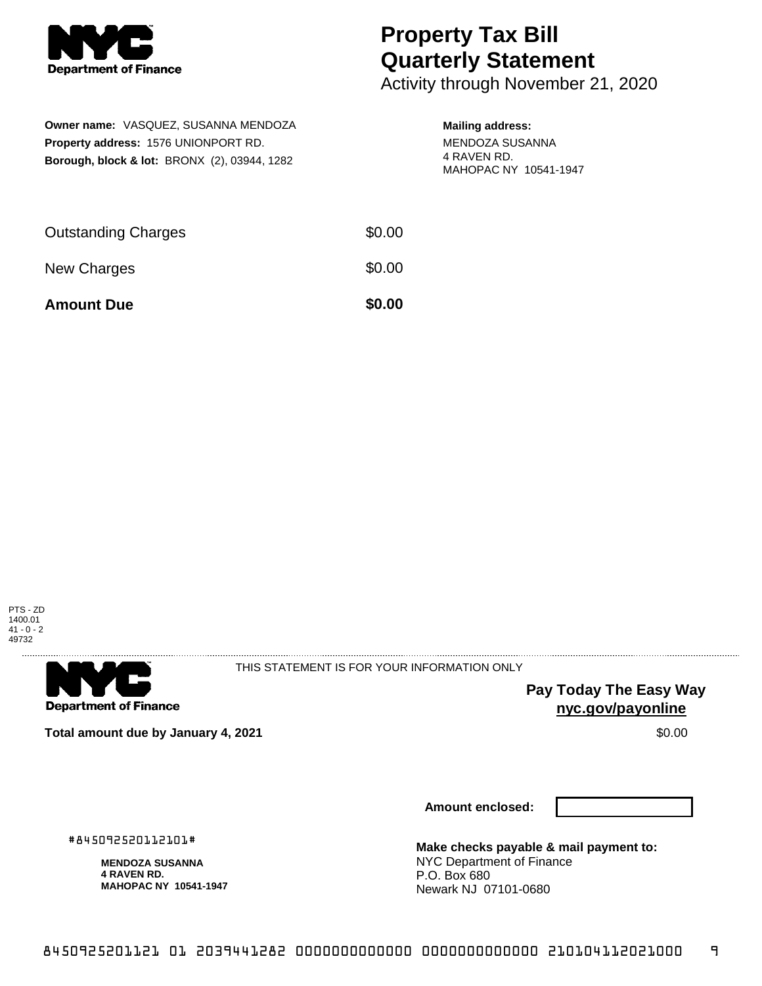

## **Property Tax Bill Quarterly Statement**

Activity through November 21, 2020

| <b>Owner name: VASQUEZ, SUSANNA MENDOZA</b>             |
|---------------------------------------------------------|
| <b>Property address: 1576 UNIONPORT RD.</b>             |
| <b>Borough, block &amp; lot: BRONX (2), 03944, 1282</b> |

## **Mailing address:**

MENDOZA SUSANNA 4 RAVEN RD. MAHOPAC NY 10541-1947

| <b>Amount Due</b>          | \$0.00 |
|----------------------------|--------|
| New Charges                | \$0.00 |
| <b>Outstanding Charges</b> | \$0.00 |





THIS STATEMENT IS FOR YOUR INFORMATION ONLY

**Pay Today The Easy Way nyc.gov/payonline**

**Total amount due by January 4, 2021 \$0.00**  $\bullet$  **\$0.00**  $\bullet$  **\$0.00**  $\bullet$  **\$0.00** 

**Amount enclosed:**

#845092520112101#

**MENDOZA SUSANNA 4 RAVEN RD. MAHOPAC NY 10541-1947** **Make checks payable & mail payment to:** NYC Department of Finance P.O. Box 680 Newark NJ 07101-0680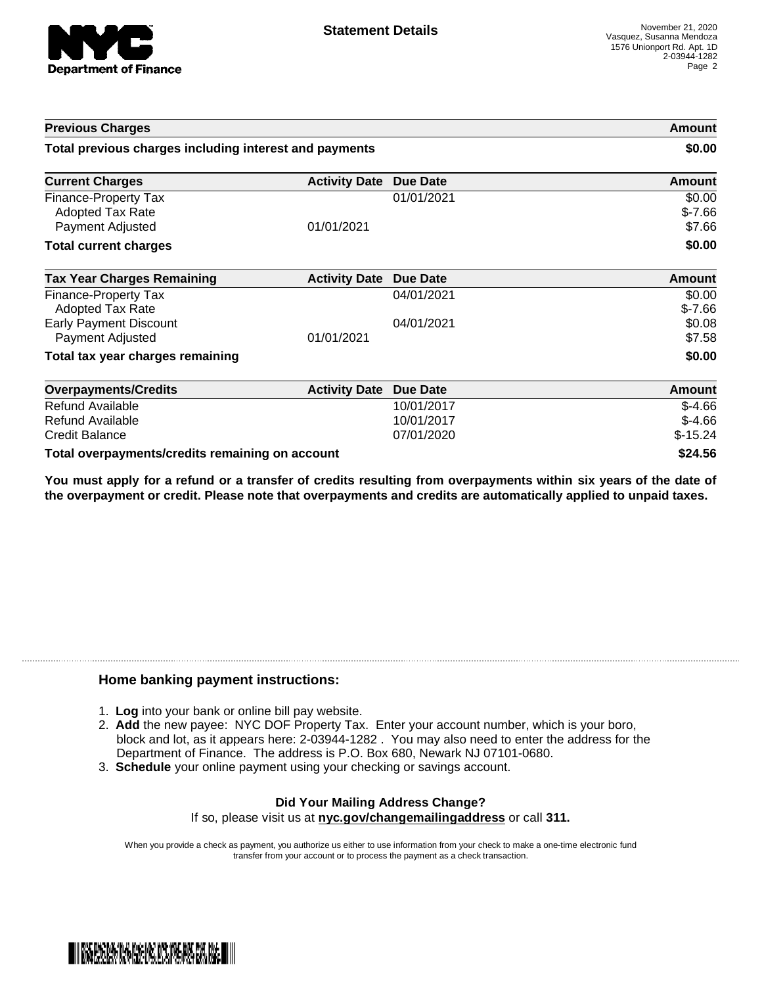

| <b>Previous Charges</b>                                |                      | Amount<br>\$0.00 |               |
|--------------------------------------------------------|----------------------|------------------|---------------|
| Total previous charges including interest and payments |                      |                  |               |
| <b>Current Charges</b>                                 | <b>Activity Date</b> | <b>Due Date</b>  | Amount        |
| Finance-Property Tax                                   |                      | 01/01/2021       | \$0.00        |
| Adopted Tax Rate                                       |                      |                  | $$-7.66$      |
| Payment Adjusted                                       | 01/01/2021           |                  | \$7.66        |
| <b>Total current charges</b>                           |                      |                  | \$0.00        |
| <b>Tax Year Charges Remaining</b>                      | <b>Activity Date</b> | <b>Due Date</b>  | <b>Amount</b> |
| Finance-Property Tax                                   |                      | 04/01/2021       | \$0.00        |
| Adopted Tax Rate                                       |                      |                  | $$-7.66$      |
| <b>Early Payment Discount</b>                          |                      | 04/01/2021       | \$0.08        |
| Payment Adjusted                                       | 01/01/2021           |                  | \$7.58        |
| Total tax year charges remaining                       |                      |                  | \$0.00        |
| <b>Overpayments/Credits</b>                            | <b>Activity Date</b> | <b>Due Date</b>  | <b>Amount</b> |
| Refund Available                                       |                      | 10/01/2017       | $$-4.66$      |
| Refund Available                                       |                      | 10/01/2017       | $$-4.66$      |
| <b>Credit Balance</b>                                  |                      | 07/01/2020       | $$-15.24$     |
| Total overpayments/credits remaining on account        |                      |                  | \$24.56       |

You must apply for a refund or a transfer of credits resulting from overpayments within six years of the date of **the overpayment or credit. Please note that overpayments and credits are automatically applied to unpaid taxes.**

## **Home banking payment instructions:**

- 1. **Log** into your bank or online bill pay website.
- 2. **Add** the new payee: NYC DOF Property Tax. Enter your account number, which is your boro, block and lot, as it appears here: 2-03944-1282 . You may also need to enter the address for the Department of Finance. The address is P.O. Box 680, Newark NJ 07101-0680.
- 3. **Schedule** your online payment using your checking or savings account.

## **Did Your Mailing Address Change?** If so, please visit us at **nyc.gov/changemailingaddress** or call **311.**

When you provide a check as payment, you authorize us either to use information from your check to make a one-time electronic fund

transfer from your account or to process the payment as a check transaction.